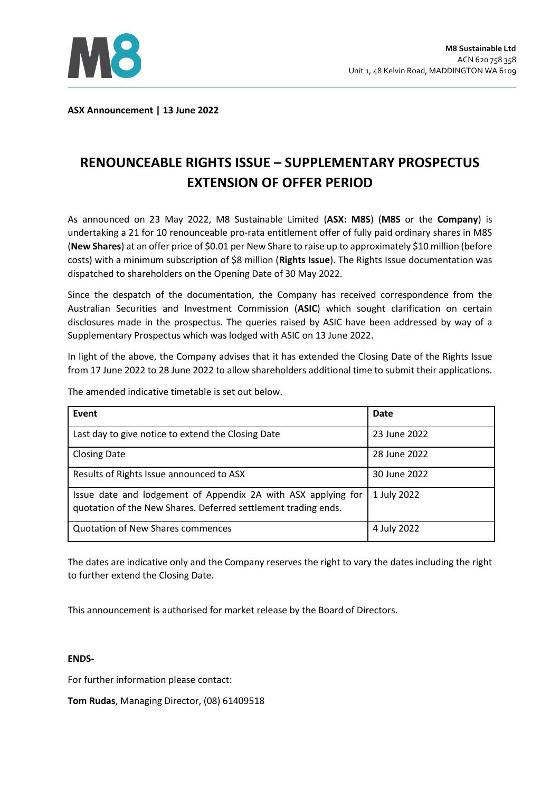

**ASX Announcement | 13 June 2022** 

## **RENOUNCEABLE RIGHTS ISSUE – SUPPLEMENTARY PROSPECTUS EXTENSION OF OFFER PERIOD**

As announced on 23 May 2022, M8 Sustainable Limited (**ASX: M8S**) (**M8S** or the **Company**) is undertaking a 21 for 10 renounceable pro-rata entitlement offer of fully paid ordinary shares in M8S (**New Shares**) at an offer price of \$0.01 per New Share to raise up to approximately \$10 million (before costs) with a minimum subscription of \$8 million (**Rights Issue**). The Rights Issue documentation was dispatched to shareholders on the Opening Date of 30 May 2022.

Since the despatch of the documentation, the Company has received correspondence from the Australian Securities and Investment Commission (**ASIC**) which sought clarification on certain disclosures made in the prospectus. The queries raised by ASIC have been addressed by way of a Supplementary Prospectus which was lodged with ASIC on 13 June 2022.

In light of the above, the Company advises that it has extended the Closing Date of the Rights Issue from 17 June 2022 to 28 June 2022 to allow shareholders additional time to submit their applications.

| Event                                                                                                                           | Date         |
|---------------------------------------------------------------------------------------------------------------------------------|--------------|
| Last day to give notice to extend the Closing Date                                                                              | 23 June 2022 |
| <b>Closing Date</b>                                                                                                             | 28 June 2022 |
| Results of Rights Issue announced to ASX                                                                                        | 30 June 2022 |
| Issue date and lodgement of Appendix 2A with ASX applying for<br>quotation of the New Shares. Deferred settlement trading ends. | 1 July 2022  |
| <b>Quotation of New Shares commences</b>                                                                                        | 4 July 2022  |

The amended indicative timetable is set out below.

The dates are indicative only and the Company reserves the right to vary the dates including the right to further extend the Closing Date.

This announcement is authorised for market release by the Board of Directors.

## **ENDS-**

For further information please contact:

**Tom Rudas**, Managing Director, (08) 61409518